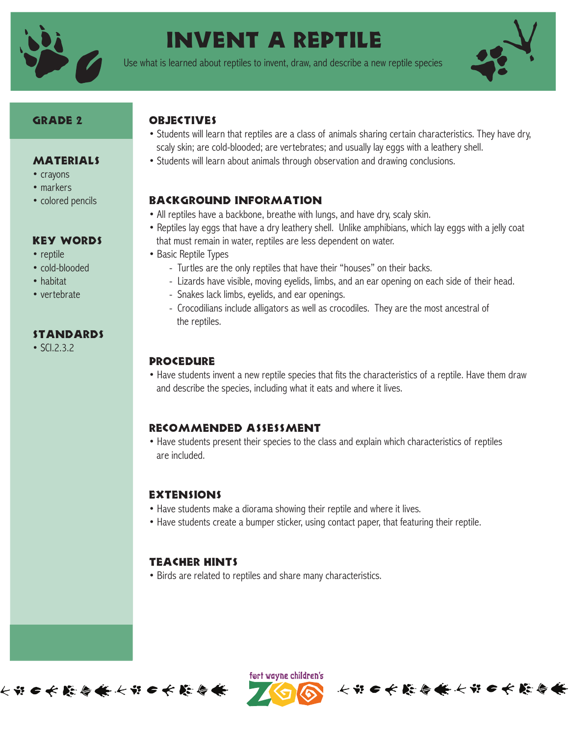

# Invent a Reptile

Use what is learned about reptiles to invent, draw, and describe a new reptile species



#### GRADE 2

• crayons • markers • colored pencils

• reptile • cold-blooded • habitat • vertebrate

**MATERIALS** 

Key Words

standards

• SCI.2.3.2

#### **OBJECTIVES**

- Students will learn that reptiles are a class of animals sharing certain characteristics. They have dry, scaly skin; are cold-blooded; are vertebrates; and usually lay eggs with a leathery shell.
- Students will learn about animals through observation and drawing conclusions.

# Background Information

- All reptiles have a backbone, breathe with lungs, and have dry, scaly skin.
- Reptiles lay eggs that have a dry leathery shell. Unlike amphibians, which lay eggs with a jelly coat that must remain in water, reptiles are less dependent on water.
- Basic Reptile Types
	- Turtles are the only reptiles that have their "houses" on their backs.
	- Lizards have visible, moving eyelids, limbs, and an ear opening on each side of their head.
	- Snakes lack limbs, eyelids, and ear openings.
	- Crocodilians include alligators as well as crocodiles. They are the most ancestral of the reptiles.

#### **PROCEDURE**

• Have students invent a new reptile species that fits the characteristics of a reptile. Have them draw and describe the species, including what it eats and where it lives.

# Recommended Assessment

• Have students present their species to the class and explain which characteristics of reptiles are included.

#### **EXTENSIONS**

- Have students make a diorama showing their reptile and where it lives.
- Have students create a bumper sticker, using contact paper, that featuring their reptile.

# Teacher Hints

• Birds are related to reptiles and share many characteristics.





长节口长藤春长长节口长藤春